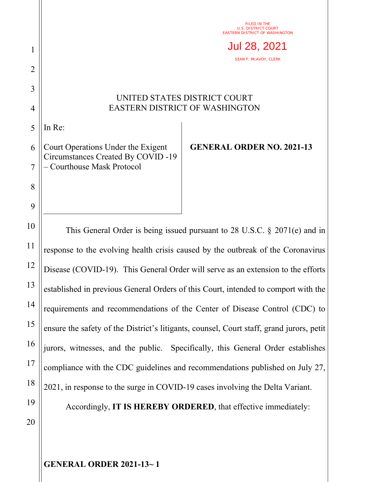FILED IN THE U.S. DISTRICT COURT EASTERN DISTRICT OF WASHINGTON

SEAN F. MCAVOY, CLERK Jul 28, 2021

## UNITED STATES DISTRICT COURT EASTERN DISTRICT OF WASHINGTON

5 In Re:

1

2

3

4

8

9

10

11

12

13

14

15

16

17

18

19

6 7 Court Operations Under the Exigent Circumstances Created By COVID -19 – Courthouse Mask Protocol

**GENERAL ORDER NO. 2021-13**

This General Order is being issued pursuant to 28 U.S.C. § 2071(e) and in response to the evolving health crisis caused by the outbreak of the Coronavirus Disease (COVID-19). This General Order will serve as an extension to the efforts established in previous General Orders of this Court, intended to comport with the requirements and recommendations of the Center of Disease Control (CDC) to ensure the safety of the District's litigants, counsel, Court staff, grand jurors, petit jurors, witnesses, and the public. Specifically, this General Order establishes compliance with the CDC guidelines and recommendations published on July 27, 2021, in response to the surge in COVID-19 cases involving the Delta Variant. Accordingly, **IT IS HEREBY ORDERED**, that effective immediately:

20

**GENERAL ORDER 2021-13~ 1**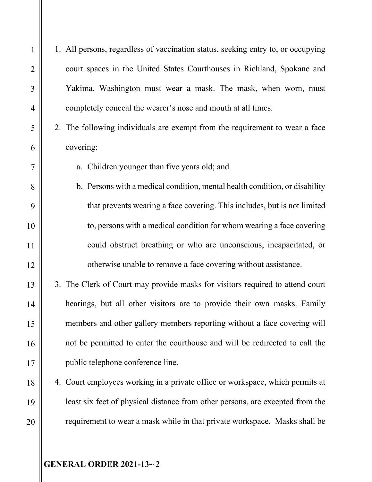1. All persons, regardless of vaccination status, seeking entry to, or occupying court spaces in the United States Courthouses in Richland, Spokane and Yakima, Washington must wear a mask. The mask, when worn, must completely conceal the wearer's nose and mouth at all times.

2. The following individuals are exempt from the requirement to wear a face covering:

a. Children younger than five years old; and

- b. Persons with a medical condition, mental health condition, or disability that prevents wearing a face covering. This includes, but is not limited to, persons with a medical condition for whom wearing a face covering could obstruct breathing or who are unconscious, incapacitated, or otherwise unable to remove a face covering without assistance.
- 3. The Clerk of Court may provide masks for visitors required to attend court hearings, but all other visitors are to provide their own masks. Family members and other gallery members reporting without a face covering will not be permitted to enter the courthouse and will be redirected to call the public telephone conference line.
- 4. Court employees working in a private office or workspace, which permits at least six feet of physical distance from other persons, are excepted from the requirement to wear a mask while in that private workspace. Masks shall be

**GENERAL ORDER 2021-13~ 2**